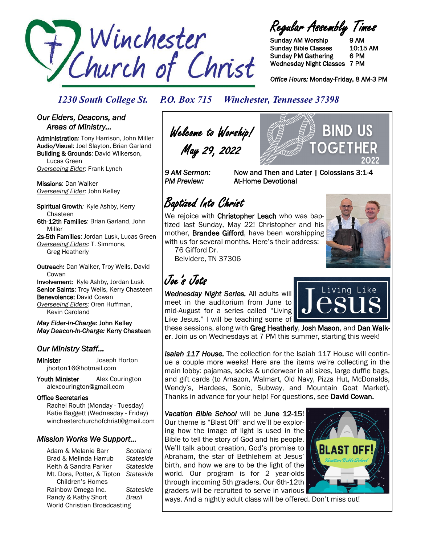

Regular Assembly Times

Sunday AM Worship 9 AM Sunday Bible Classes 10:15 AM Sunday PM Gathering 6 PM Wednesday Night Classes 7 PM

*Office Hours:* Monday-Friday, 8 AM-3 PM

# *1230 South College St. P.O. Box 715 Winchester, Tennessee 37398*

## *Our Elders, Deacons, and Areas of Ministry…*

Administration: Tony Harrison, John Miller Audio/Visual: Joel Slayton, Brian Garland Building & Grounds: David Wilkerson, Lucas Green *Overseeing Elder:* Frank Lynch

Missions: Dan Walker *Overseeing Elder:* John Kelley

Spiritual Growth*:* Kyle Ashby, Kerry Chasteen 6th-12th Families: Brian Garland, John Miller 2s-5th Families: Jordan Lusk, Lucas Green

*Overseeing Elders:* T. Simmons, Greg Heatherly

Outreach: Dan Walker, Troy Wells, David **Cowan** Involvement: Kyle Ashby, Jordan Lusk Senior Saints: Troy Wells, Kerry Chasteen Benevolence: David Cowan *Overseeing Elders:* Oren Huffman,

Kevin Caroland

*May Elder-In-Charge:* John Kelley *May Deacon-In-Charge:* Kerry Chasteen

# *Our Ministry Staff…*

Minister Joseph Horton jhorton16@hotmail.com

Youth Minister Alex Courington alexcourington@gmail.com

### Office Secretaries

 Rachel Routh (Monday - Tuesday) Katie Baggett (Wednesday - Friday) winchesterchurchofchrist@gmail.com

# *Mission Works We Support…*

Adam & Melanie Barr *Scotland* Brad & Melinda Harrub *Stateside* Keith & Sandra Parker *Stateside* Mt. Dora, Potter, & Tipton *Stateside* Children's Homes Rainbow Omega Inc. *Stateside* Randy & Kathy Short *Brazil* World Christian Broadcasting

Welcome to Worship! May 29, 2022

*9 AM Sermon:* Now and Then and Later | Colossians 3:1-4 *PM Preview:* At-Home Devotional

Baptized Into Christ

We rejoice with Christopher Leach who was baptized last Sunday, May 22! Christopher and his mother, Brandee Gifford, have been worshipping with us for several months. Here's their address:

76 Gifford Dr. Belvidere, TN 37306

# Joe's Jots

*Wednesday Night Series.* All adults will meet in the auditorium from June to mid-August for a series called "Living Like Jesus." I will be teaching some of

these sessions, along with Greg Heatherly, Josh Mason, and Dan Walker. Join us on Wednesdays at 7 PM this summer, starting this week!

*Isaiah 117 House.* The collection for the Isaiah 117 House will continue a couple more weeks! Here are the items we're collecting in the main lobby: pajamas, socks & underwear in all sizes, large duffle bags, and gift cards (to Amazon, Walmart, Old Navy, Pizza Hut, McDonalds, Wendy's, Hardees, Sonic, Subway, and Mountain Goat Market). Thanks in advance for your help! For questions, see David Cowan.

*Vacation Bible School* will be June 12-15! Our theme is "Blast Off" and we'll be exploring how the image of light is used in the Bible to tell the story of God and his people. We'll talk about creation, God's promise to Abraham, the star of Bethlehem at Jesus' birth, and how we are to be the light of the world. Our program is for 2 year-olds through incoming 5th graders. Our 6th-12th graders will be recruited to serve in various



ways. And a nightly adult class will be offered. Don't miss out!



Living Like

**BIND US**